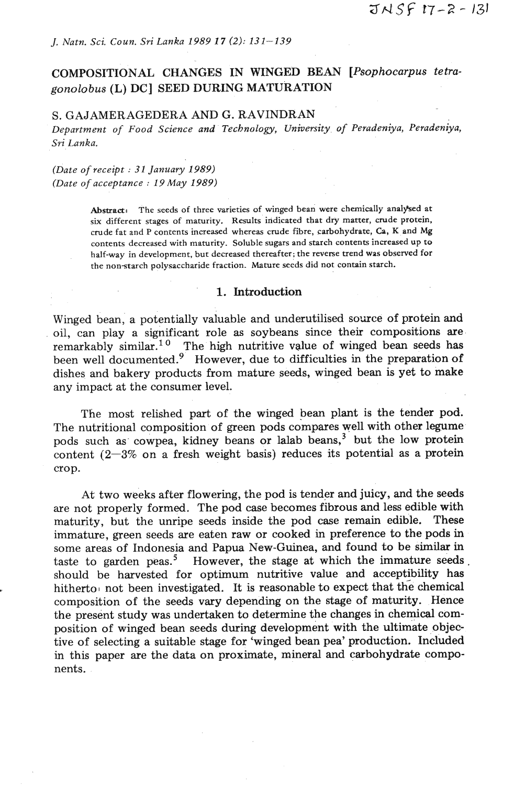# COMPOSITIONAL CHANGES IN WINGED BEAN *[Psophocarpus tetragonolo bus (L)* **DC] SEED** DURING MATURATION

## S. GAJAMERAGEDERA AND G. RAVINDRAN

*Department of Food Science and Technology, University. of Peradeniya, Peradeniya, Sri Lanka.* 

*(Date of receipt* : *31 January 1989) (Date of acceptance* : *19 May 1989)* 

> Abstract: The seeds of three varieties of winged bean were chemically analysed at **six different stages of maturity. Results indicated that dry matter, crude protein, crude fat and P contents increased whereas crude fibre, carbohydrate, Ca, K and Mg contents decreased with maturity. Soluble sugars and starch contents increased up to half-way in development, but decreased thereafter; the reverse trend was observed for the nonstarch polysaccharide fraction. Mature seeds did not contain starch.**

### 1. Introduction

Winged bean, a potentially valuable and underutilised source of protein and oil, can play a significant role **as** soybeans since their compositions are remarkably similar.<sup>10</sup> The high nutritive value of winged bean seeds has been well documented.<sup>9</sup> However, due to difficulties in the preparation of dishes and bakery products from mature seeds, winged bean is yet to make any impact at the consumer level.

The most relished part of the winged bean plant is the tender pod. The nutritional composition of green pods compares well with other legume pods such as cowpea, kidney beans or lalab beans,<sup>3</sup> but the low protein content  $(2-3\%$  on a fresh weight basis) reduces its potential as a protein crop.

At two weeks after flowering, the pod is tender and juicy, and the seeds are not properly formed. The pod case becomes fibrous and less edible with maturity, but the unripe seeds inside the pod case remain edible. These immature, green seeds are eaten raw or cooked in preference to the pods in some areas of Indonesia and Papua New-Guinea, and found to be similar in taste to garden peas.<sup>5</sup> However, the stage at which the immature seeds. should be harvested for optimum nutritive value and acceptibility has hitherto not been investigated. It is reasonable to expect that the chemical composition of the seeds vary depending on the stage of maturity. Hence the present study was undertaken to determine the changes in chemical composition of winged bean seeds during development with the ultimate objective of selecting a suitable stage for 'winged bean pea' production. Included in this paper are the data on proximate, mineral and carbohydrate components.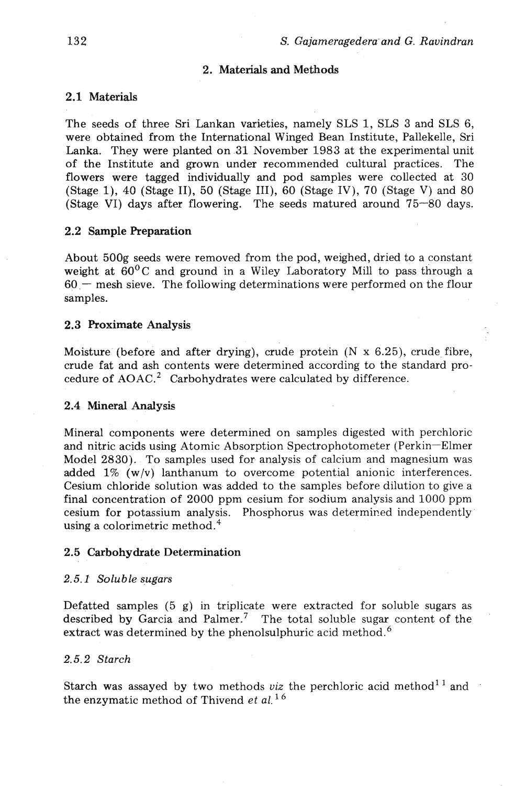## **2.** Materials **and** Methods

## 2.1 Materials

The seeds of three Sri Lankan varieties, namely SLS 1, SLS 3 and SLS 6, were obtained from the International Winged Bean Institute, Pallekelle, Sri Lanka. They were planted on 31 November 1983 at the experimental unit of the Institute and grown under recommended cultural practices. The flowers were tagged individually and pod samples were collected at 30 (Stage 1), 40 (Stage II), 50 (Stage III), 60 (Stage IV), 70 (Stage V) and 80 (Stage VI) days after flowering. The seeds matured around 75-80 days.

### **2.2** Sample Preparation

About 500g seeds were removed from the pod, weighed, dried to a constant weight at 60°C and ground in a Wiley Laboratory Mill to pass through a  $60$  – mesh sieve. The following determinations were performed on the flour samples.

### **2.3** Proximate Analysis

Moisture (before and after drying), crude protein  $(N \times 6.25)$ , crude fibre, crude fat and ash contents were determined according to the standard procedure of **AOAC.'** Carbohydrates were calculated by difference.

#### **2.4** Mineral **hn&Jrsis**

Mineral components were determined on samples digested with perchloric and nitric acids using Atomic Absorption Spectrophotometer (Perkin-Elmer Model 2830). To samples used for analysis of calcium and magnesium was added  $1\%$  (w/v) lanthanum to overcome potential anionic interferences. Cesium chloride solution was. added to the samples before dilution to give a final concentration of 2000 ppm cesium for sodium analysis and 1000 ppm cesium for potassium analysis. Phosphorus was determined independently using a colorimetric method.<sup>4</sup>

#### **2.5** Carbohydrate Determination

#### **2.5.1'** *Soluble sugars*

Defatted samples (5 g) in triplicate were extracted for soluble sugars as described by Garcia and Palmer.<sup>7</sup> The total soluble sugar content of the extract was determined by the phenolsulphuric acid method. $^{6}$ 

## *2.5.2 Starch*

Starch was assayed by two methods viz the perchloric acid method<sup>11</sup> and the enzymatic method of Thivend *et* al.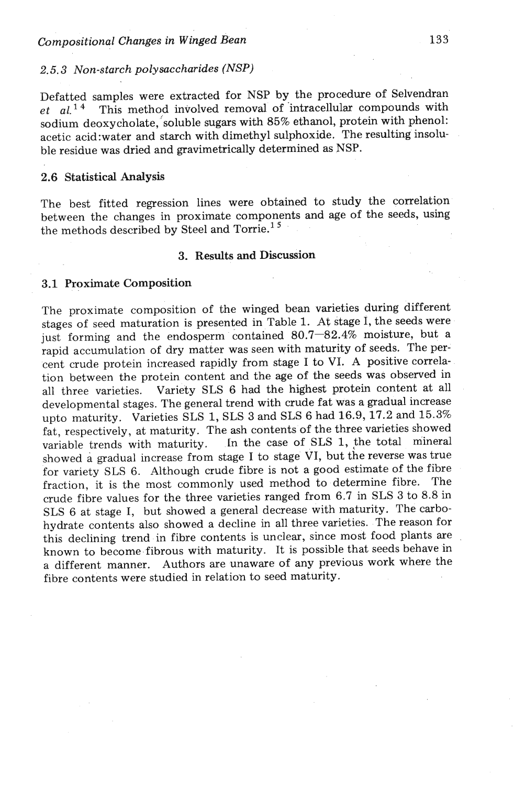## *2.5.3* Non-starch polysaccharides (NSP)

Defatted samples were extracted for NSP by the procedure of Selvendran et  $al.$ <sup>14</sup> This method involved removal of intracellular compounds with sodium deoxycholate, soluble sugars with 85% ethanol, protein with phenol: acetic acid:water and starch with dimethyl sulphoxide. The resulting insoluble residue was dried and gravimetrically determined as NSP.

### *2.6* Statistical Analysis

The best fitted regression lines were obtained to study the correlation between the changes in proximate components and **age** of the seeds, using the methods described by Steel and Torrie.<sup>15</sup>

### **3.** Results **and** Discussion

### **3.1** Proximate Composition

The proximate composition of the winged bean varieties during different stages of seed maturation is presented in Table 1. At stage I, the seeds were just forming and the endosperm contained 80.7-82.4% moisture, but a rapid accumulation of dry matter was seen with maturity of seeds. The percent crude protein increased rapidly from stage I to VI. A positive correlation between the protein content and the age of the seeds was observed in all three varieties. Variety SLS 6 had the highest protein content at all developmental stages. The general trend with crude fat was a gradual increase upto maturity. Varieties SLS 1, SLS **3** and SLS 6 had 16.9,17.2 and 15.3% fat, respectively, at maturity. The ash contents of the three varieties showed variable trends with maturity. In the case of SLS 1, the total mineral variable trends with maturity. In the case of SLS 1, the total mineral showed a gradual increase from stage I to stage VI, but the reverse was true for variety SLS 6. Although crude fibre is not a good estimate of the fibre fraction, it is the most commonly used method to determine fibre. The crude fibre values for the three varieties ranged from **6.7** in SLS **3** to 8.8 in SLS 6 at stage I, but showed a general decrease with maturity. The carbohydrate contents also showed a decline in all three varieties. The reason for this declining trend in fibre contents is unclear, since most food plants are known to become fibrous with maturity. It is possible that seeds behave in a different manner. Authors are unaware of any previous work where the fibre contents were studied in relation to seed maturity.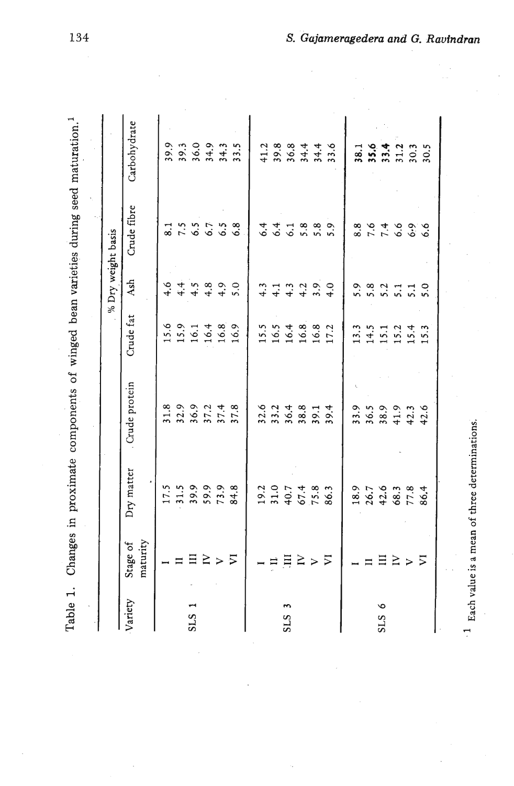|                              |                      |            |               |           |            | % Dry weight basis           |              |
|------------------------------|----------------------|------------|---------------|-----------|------------|------------------------------|--------------|
| Variety                      | maturity<br>Stage of | Dry matter | Crude protein | Crude fat | <b>Ash</b> | Crude fibre                  | Carbohydrate |
|                              |                      | 17.5       | 31.8          | 15.6      | 4.6        | $\overline{\phantom{0}}^{3}$ | 39.9         |
|                              |                      | 31.5       | 32.9          | 15.9      | 4.4        | 7.5                          | 39.3         |
| <b>SLS</b>                   | $\overline{11}$      | 39.9       | 36.9          | 16.1      | 4.5        | 6.5                          | 36.0         |
|                              | $\geq$               | 59.9       | 37.2          | 16.4      | 4.8        | 6.7                          | 34.9         |
|                              | $\geq$               | 73.9       | 37.4          | 16.8      | 4.9        | 6.5                          | 34.3         |
|                              | $\overline{v}$       | 84.8       | 37.8          | 16.9      | 5.0        | 6.8                          | 33.5         |
|                              |                      | 19.2       | 32.6          | 15.5      | 4.3        | 6.4                          | 41.2         |
|                              | $\Box$               | 31.0       | 33.2          | 16.5      | 4.1        | 6.4                          | 39.8         |
| $\overline{ }$<br><b>SLS</b> | $\overline{H}$       | 40.7       | 36.4          | 16.4      | 4.3        | 6.1                          | 36.8         |
|                              | $\geq$               | 67.4       | 38.8          | 16.8      | 4.2        | 5.8                          | 34.4         |
|                              | $\triangleright$     | 75.8       | 39.1          | 16.8      | 3.9        | 5.8                          | 34.4         |
|                              | $\overline{V}$       | 86.3       | 39.4          | 17.2      | 4.0        | 5.9                          | 33.6         |
|                              |                      | 18.9       | 33.9          | 13.3      | 5.9        | 8.8                          | 38.1         |
|                              | $\equiv$             | 26.7       | 36.5          | 14.5      | 5.8        | $\sigma$                     | 35.6         |
| $\circ$<br>SLS               | $\Xi$                | 42.6       | 38.9          | 15.1      | 5.2        | 7.4                          | 33.4         |
|                              | $\geq$               | 68.3       | 41.9          | 15.2      | 5.1        | 6.6                          | 31.2         |
|                              | $\geq$               | 77.8       | 42.3          | 15.4      | 5.1        | 6.9                          | 30.3         |
|                              | $\overline{V}$       | 86.4       | 42.6          | 15.3      | 5.0        | 6.6                          | 30.5         |

 $^\prime$  - Each value is a mean of three determinations. **Each value** is a mean of three determinations.

134

 $\frac{1}{2}$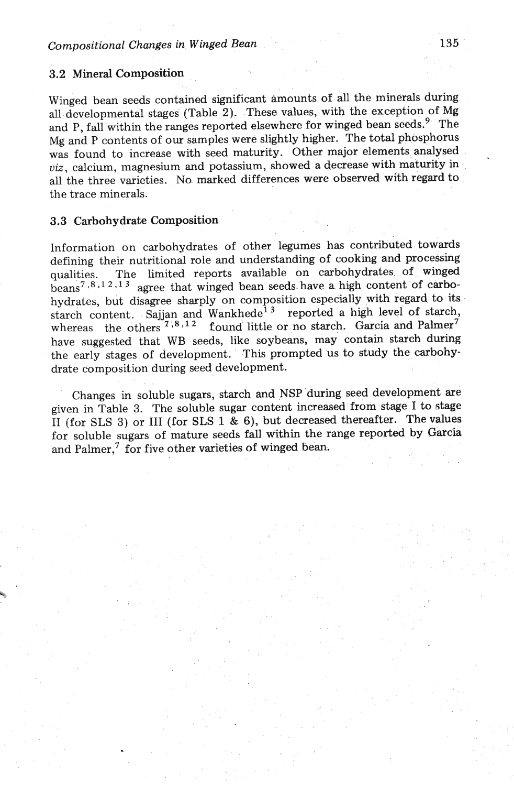### *3.2* Mineral Composition

Winged bean seeds contained significant amounts of all the minerals during all developmental stages (Table 2). These values, with the exception of Mg and P, fall within the ranges reported elsewhere for winged bean seeds.<sup>9</sup> The Mg and P contents of our samples were slightly higher. The total phosphorus was found to increase with seed maturity. Other major elements analysed viz, calcium, magnesium and potassium, showed a decrease with maturity in all the three varieties. No marked differences were observed with regard to the trace minerals.

### **3.3** Carbohydrate Composition

Information on carbohydrates of other legumes has contributed towards defining their nutritional role and understanding of cooking and processing qualities. The limited reports available on carbohydrates of winged  $\frac{1}{2}$   $\frac{1}{2}$ ,<sup>2</sup>,<sup>13</sup> agree that winged bean seeds have a high content of carbohydrates, but disagree sharply on composition especially with regard to its hydrates, but disagree sharply on composition especially with regard to its tarch content. Sajjan and Wankhede<sup>13</sup> reported a high level of starch, whereas the others  $7^{(8,12)}$  found little or no starch. Garcia and Palme whereas the others<sup>71,8,12</sup> found little or no starch. Garcia and Palmer<sup>7</sup> have suggested that WB seeds, like soybeans, may contain starch during the early stages of development. This prompted us to study the carbohydrate composition during seed development.

Changes in soluble sugars, starch and NSP during seed development are given in Table **3.** The soluble sugar content increased from stage I to stage I1 (for SLS **3)** or I11 (for SLS 1 & 6), but decreased thereafter. The values for soluble sugars of mature seeds fall within the range reported **by** Garcia and Palmer,<sup>7</sup> for five other varieties of winged bean.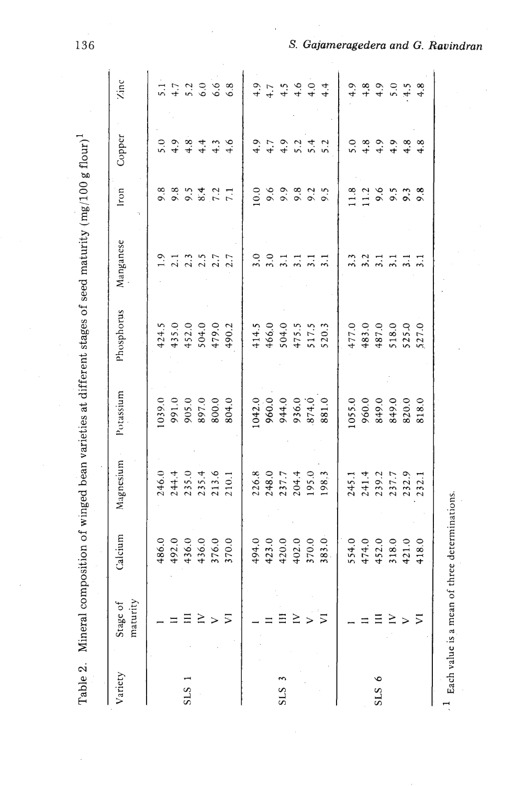| Variety          | maturity<br>Stage of | Calcium | Magnesium                        | Potassium       | Phosphorus                                          | Manganese                                                                      | Iron                                       | Copper                                      | Zinc                                      |
|------------------|----------------------|---------|----------------------------------|-----------------|-----------------------------------------------------|--------------------------------------------------------------------------------|--------------------------------------------|---------------------------------------------|-------------------------------------------|
|                  |                      | 486.0   | 246.0                            | 1039.0          |                                                     | $\ddot{ }$ .                                                                   |                                            |                                             |                                           |
|                  |                      | 492.0   | 244.4                            |                 | 424.5<br>435.0                                      |                                                                                | 8 8 9 9 9 2 1<br>8 9 9 9 9 1 1             | 0 0 0 0 4 m 0<br>0 0 0 4 m 0<br>0 4 4 4 4 4 | $5.7$<br>$7.7$<br>$6.0$<br>$6.8$<br>$6.8$ |
| SLS              | Ξ                    | 436.0   |                                  | 991.0<br>905.0  |                                                     | $2.300$<br>$2.500$                                                             |                                            |                                             |                                           |
|                  | Σ                    | 436.0   | 235.0<br>235.4<br>213.6<br>210.1 | 897.0           | 452.0<br>504.0<br>479.0                             |                                                                                |                                            |                                             |                                           |
|                  | $\geq$               | 376.0   |                                  | 800.0           |                                                     |                                                                                |                                            |                                             |                                           |
|                  | ⋝                    | 370.0   |                                  | 804.0           | 490.2                                               | 2.7                                                                            |                                            |                                             |                                           |
|                  |                      | 494.0   | 226.8                            |                 | 414.5                                               | 3.0                                                                            | 10.0                                       |                                             | 4.9                                       |
|                  |                      | 423.0   |                                  | 1042.0<br>960.0 |                                                     |                                                                                |                                            |                                             | 4.7                                       |
| SLS              | Ξ                    | 420.0   | 248.0<br>237.7<br>204.4<br>198.3 | 944.0           | $466.0$<br>$504.5$<br>$517.5$<br>$517.5$<br>$520.3$ | $3.\overline{3}.1$                                                             | cococin<br>cococo                          |                                             |                                           |
|                  | $\geq$               | 402.0   |                                  |                 |                                                     |                                                                                |                                            |                                             |                                           |
|                  | $\geq$               | 370.0   |                                  | 936.0<br>874.0  |                                                     | $\frac{1}{2}$ . 1                                                              |                                            |                                             |                                           |
|                  | $\sum$               | 383.0   |                                  | 881.0           |                                                     |                                                                                |                                            | 9 7 9 9 9 4 9<br>4 4 4 5 5 6 7              | $4.604$<br>$4.444$                        |
|                  |                      | 554.0   | 245.1                            | 1055.0          | 477.0                                               |                                                                                | 1.8                                        |                                             | 4.9                                       |
|                  |                      | 474.0   | 241.4                            | 960.0           | 483.0                                               |                                                                                |                                            |                                             |                                           |
| $\bullet$<br>SLS | $\equiv$             | 452.0   | 239.2                            | 849.0           | 487.0                                               | $\begin{array}{c} n & n & n & n \\ n & n & n & n \\ n & n & n & n \end{array}$ | $11.2$<br>$9.5$<br>$9.3$<br>$9.3$<br>$9.8$ |                                             | 4.8                                       |
|                  | $\geq$               | 318.0   | 237.7                            | 849.0           | 518.0                                               |                                                                                |                                            |                                             | 5.0                                       |
|                  | $\geq$               | 421.0   | 232.9                            | 820.0           | 525.0                                               |                                                                                |                                            | 4.8                                         | 4.5                                       |
|                  | $\overline{v}$       | 418.0   | 232.1                            | 818.0           | 527.0                                               |                                                                                |                                            | 4.8                                         | 4.8                                       |

136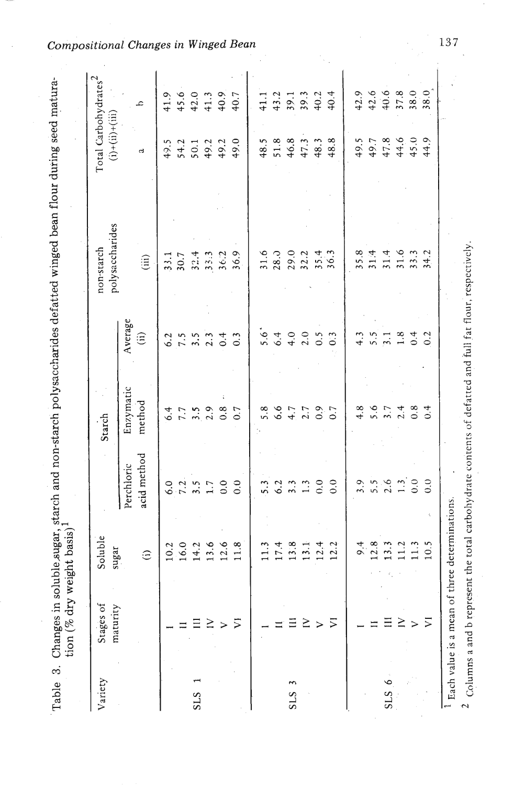| uple sugar, starch and non-starch polysaccharides detatted winged bean flour during seed matura- |                                              |
|--------------------------------------------------------------------------------------------------|----------------------------------------------|
|                                                                                                  |                                              |
| langes in solu                                                                                   | ٟ<br>ć<br>$\lim_{\epsilon\to 0}$ is dry well |
|                                                                                                  |                                              |
| )<br>)<br>)                                                                                      |                                              |

| Variety         | Stages of<br>maturity | Soluble<br>sugar |                         | Starch    |                           | polysaccharides<br>non-starch | Total Carbohydrates <sup>2</sup><br>$(i)+(ii)+(iii)$ |      |
|-----------------|-----------------------|------------------|-------------------------|-----------|---------------------------|-------------------------------|------------------------------------------------------|------|
|                 |                       |                  | Perchloric              | Enzymatic | Average                   |                               |                                                      |      |
|                 |                       | $\hat{c}$        | acid method             | method    | $\widehat{\mathrm{(ii)}}$ | (iii)                         | ದ                                                    | ع    |
|                 |                       | 10.2             | $\ddot{\circ}$          | 6.4       | 6.2                       | 33.1                          | 49.5                                                 | 41.9 |
|                 |                       | 16.0             | 7.2                     | 7.7       | 7.5                       | 30.7                          |                                                      | 45.6 |
| S <sub>LS</sub> |                       | 14.2             | 3.5                     | 3.5       | 3.5                       | 32.4                          | $54.2$<br>$50.1$                                     | 42.0 |
|                 | ≧                     | 13.6             | 1.7                     | 2.9       | 2.3                       | 33.3                          |                                                      | 41.3 |
|                 | >                     | 12.6             | 0.0                     | 0.8       | 0.4                       | 36.2                          | $49.2$<br>49.2                                       | 40.9 |
|                 | $\overline{z}$        | 11.8             | 0.0                     | 0.7       | $\overline{0}$ .          | 36.9                          | 49.0                                                 | 40.7 |
|                 |                       |                  | 5.3                     | 5.8       | 5.6                       | 31.6                          | 48.5                                                 | 41.1 |
|                 |                       | 17.4             | 6.2                     | 6.6       | 6.4                       | 28.0                          | $51.8$                                               | 43.2 |
| ξ<br>SLS        |                       | 13.8             |                         | 4.7       | 4.0                       | 29.0                          | 46.8                                                 | 39.1 |
|                 | ≥                     | $\frac{1}{2}$    | $\mathbb{C}$            | 2.7       | 2.0                       | 32.2                          | 47.3                                                 | 39.3 |
|                 | $\geq$                | 12.4             | 0.0                     | 6.9       | 0.5                       | 35.4                          | 48.3                                                 | 40.2 |
|                 | ジ                     | 12.2             | 0.0                     | 0.7       | 0.3                       | 36.3                          | 48.8                                                 | 40.4 |
|                 |                       | 9.4              | 3.9                     | 4.8       | 4.3                       | 35.8                          | 49.5                                                 | 42.9 |
|                 |                       | 12.8             |                         | 5.6       | 5.5                       | 314                           | 49.7                                                 | 42.6 |
| ۰<br>SLS        |                       |                  | $5.\overline{6}$<br>2.6 | 3.7       | $\overline{3.1}$          | 31.4                          | 47.8                                                 | 40.6 |
|                 | ≧                     |                  |                         | 2.4       | 1.8                       | 31.6                          | $44,6$<br>45.0                                       | 37.8 |
|                 | >                     |                  | $\frac{1}{0}$ .0        | 0.8       | 0.4                       | 33.3                          |                                                      | 38.0 |
|                 | ⋝                     | 10.5             | 0.0                     | 0.4       | 0.2                       | 34.2                          | 44.9                                                 | 38.0 |

*<u>ositional Changes in Winged Bean*</u>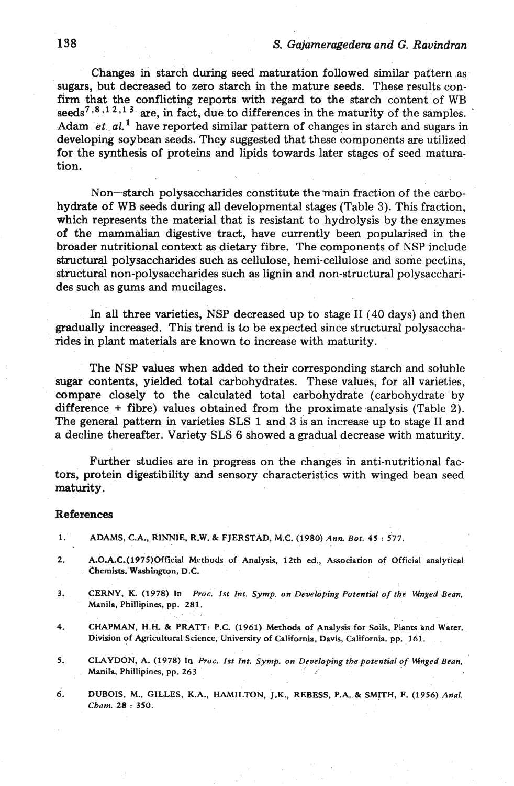## **138** *S. Gajameragedem and G. Ravindmn*

Changes in starch during seed maturation followed similar pattern as sugars, but decreased to zero starch in the mature seeds. These results confirm that the conflicting reports with regard to the starch content of WB  $seeds^{7,8,12,13}$  are, in fact, due to differences in the maturity of the samples. Adam  $et_{al}$ <sup>1</sup> have reported similar pattern of changes in starch and sugars in developing soybean seeds. They suggested that these components are utilized for the synthesis of proteins and lipids towards later stages of seed maturation.

Non-starch polysaccharides constitute the main fraction of the carbohydrate of WB seeds during **all** developmental stages (Table 3). This fraction, which represents the material that is resistant to hydrolysis by the enzymes of the mammalian digestive tract, have currently been popularised in the broader nutritional context as dietary fibre. The components of NSP include structural polysaccharides such as cellulose, hemi-cellulose and some pectins, structural non-polysaccharides such as **lignin** and non-structural polysaccharides such as gums and mucilages.

In all three varieties, NSP decreased up to stage I1 (40 days) and then gradually increased. This trend is to be expected since structural polysaccharides in plant materials are known to increase with maturity.

The NSP values when added to their corresponding starch and soluble sugar contents, yielded total carbohydrates. These values, for all varieties, compare closely to the calculated total carbohydrate (carbohydrate by difference  $+$  fibre) values obtained from the proximate analysis (Table 2). The general pattern in varieties SLS 1 and 3 is an increase up to stage **I1** and a decline thereafter. Variety SLS 6 showed a gradual decrease with maturity.

Further studies are in progress on the changes in anti-nutritional factors, protein digestibility and sensory characteristics with winged bean seed maturity.

#### References

- **1. ADAMS, C.A., RINNIE, R.W.** & **FJERSTAD, M.C. (1980)** *Ann. Bot.* **<sup>45</sup>**: **\$77.**
- **2. A.0.A.C-(1975)Official Methods of Analysis, 12th ed., Association of Official analytical Chemists. Washington, D.C.**
- **3. CERNY, K. (1978) In** *Proc. 1st Int. Symp. on Developing Potential of the Wnged Bean,*  **Manila, Phillipines, pp. 281.**  . , . -
- 4. **CHAPMAN, H.H. & PRATT: P.C.** (1961) Methods of Analysis for Soils, Plants and Water. Division of Agricultural Science, University of California, Davis, California. pp. 161.
- 5. CLAYDON, A. (1978) In *Proc. 1st Int. Symp. on Developing the potential of Winged Bean,* **MeniIa, Phillipines, pp. 263** *r'* .
- **6. DUBOIS, M., GILLES, K.A., HAMILTON, J.K., REBESS, P.A.** & **SMITH, F. (1956)** *Anal. Cbom.* **28** : **350.**